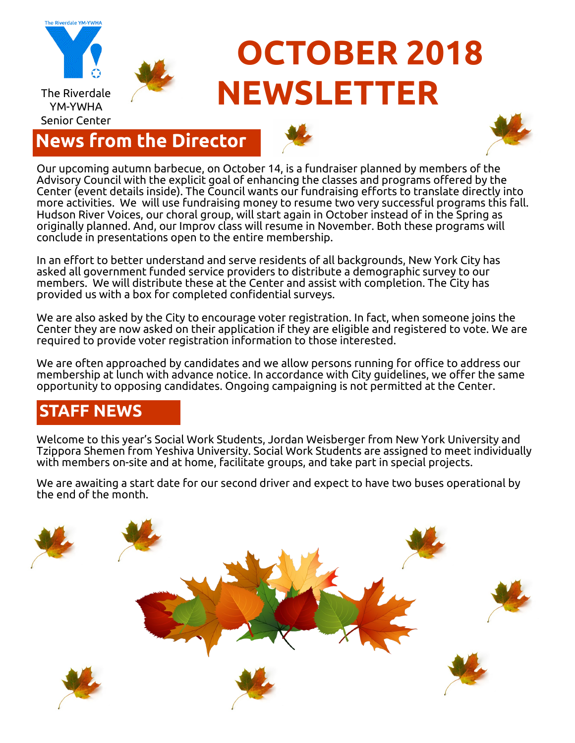

### **News from the Director**





Our upcoming autumn barbecue, on October 14, is a fundraiser planned by members of the Advisory Council with the explicit goal of enhancing the classes and programs offered by the Center (event details inside). The Council wants our fundraising efforts to translate directly into more activities. We will use fundraising money to resume two very successful programs this fall. Hudson River Voices, our choral group, will start again in October instead of in the Spring as originally planned. And, our Improv class will resume in November. Both these programs will conclude in presentations open to the entire membership.

In an effort to better understand and serve residents of all backgrounds, New York City has asked all government funded service providers to distribute a demographic survey to our members. We will distribute these at the Center and assist with completion. The City has provided us with a box for completed confidential surveys.

We are also asked by the City to encourage voter registration. In fact, when someone joins the Center they are now asked on their application if they are eligible and registered to vote. We are required to provide voter registration information to those interested.

We are often approached by candidates and we allow persons running for office to address our membership at lunch with advance notice. In accordance with City guidelines, we offer the same opportunity to opposing candidates. Ongoing campaigning is not permitted at the Center.

### **STAFF NEWS**

Welcome to this year's Social Work Students, Jordan Weisberger from New York University and Tzippora Shemen from Yeshiva University. Social Work Students are assigned to meet individually with members on-site and at home, facilitate groups, and take part in special projects.

We are awaiting a start date for our second driver and expect to have two buses operational by the end of the month.

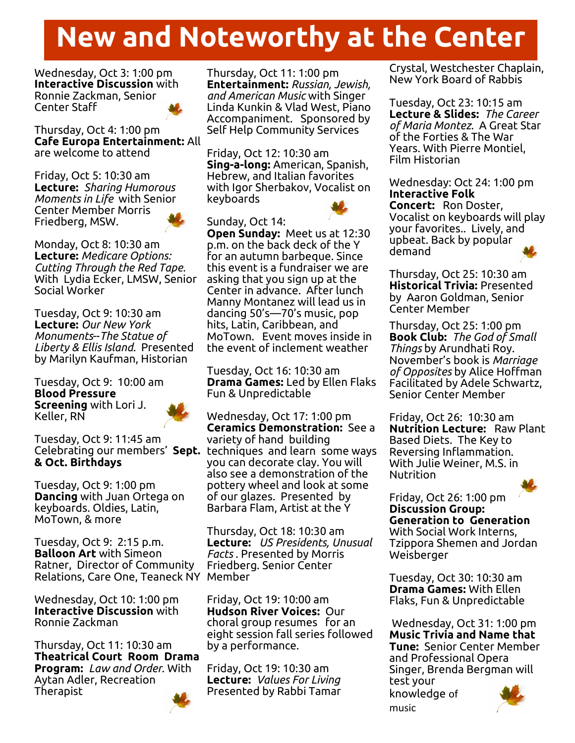# **New and Noteworthy at the Center**

Wednesday, Oct 3: 1:00 pm **Interactive Discussion** with Ronnie Zackman, Senior Center Staff



Thursday, Oct 4: 1:00 pm **Cafe Europa Entertainment:** All are welcome to attend

Friday, Oct 5: 10:30 am **Lecture:** *Sharing Humorous Moments in Life* with Senior Center Member Morris Friedberg, MSW.



Monday, Oct 8: 10:30 am **Lecture:** *Medicare Options: Cutting Through the Red Tape.*  With Lydia Ecker, LMSW, Senior Social Worker

Tuesday, Oct 9: 10:30 am **Lecture:** *Our New York Monuments*--*The Statue of Liberty & Ellis Island.* Presented by Marilyn Kaufman, Historian

Tuesday, Oct 9: 10:00 am **Blood Pressure Screening** with Lori J. Keller, RN



Tuesday, Oct 9: 11:45 am **& Oct. Birthdays**

Tuesday, Oct 9: 1:00 pm **Dancing** with Juan Ortega on keyboards. Oldies, Latin, MoTown, & more

Tuesday, Oct 9: 2:15 p.m. **Balloon Art** with Simeon Ratner, Director of Community Relations, Care One, Teaneck NY Member

Wednesday, Oct 10: 1:00 pm **Interactive Discussion** with Ronnie Zackman

Thursday, Oct 11: 10:30 am **Theatrical Court Room Drama Program:** *Law and Order*. With Aytan Adler, Recreation Therapist

Thursday, Oct 11: 1:00 pm **Entertainment:** *Russian, Jewish, and American Music* with Singer Linda Kunkin & Vlad West, Piano Accompaniment. Sponsored by Self Help Community Services

Friday, Oct 12: 10:30 am **Sing-a-long:** American, Spanish, Hebrew, and Italian favorites with Igor Sherbakov, Vocalist on keyboards

#### Sunday, Oct 14:

**Open Sunday:** Meet us at 12:30 p.m. on the back deck of the Y for an autumn barbeque. Since this event is a fundraiser we are asking that you sign up at the Center in advance. After lunch Manny Montanez will lead us in dancing 50's—70's music, pop hits, Latin, Caribbean, and MoTown. Event moves inside in the event of inclement weather

Tuesday, Oct 16: 10:30 am **Drama Games:** Led by Ellen Flaks Fun & Unpredictable

Celebrating our members' **Sept.**  techniques and learn some ways Wednesday, Oct 17: 1:00 pm **Ceramics Demonstration:** See a variety of hand building you can decorate clay. You will also see a demonstration of the pottery wheel and look at some of our glazes. Presented by Barbara Flam, Artist at the Y

> Thursday, Oct 18: 10:30 am **Lecture:** *US Presidents, Unusual Facts .* Presented by Morris Friedberg. Senior Center

> Friday, Oct 19: 10:00 am **Hudson River Voices:** Our choral group resumes for an eight session fall series followed by a performance.

Friday, Oct 19: 10:30 am **Lecture:** *Values For Living*  Presented by Rabbi Tamar Crystal, Westchester Chaplain, New York Board of Rabbis

Tuesday, Oct 23: 10:15 am **Lecture & Slides:** *The Career of Maria Montez.* A Great Star of the Forties & The War Years. With Pierre Montiel, Film Historian

Wednesday: Oct 24: 1:00 pm **Interactive Folk Concert:** Ron Doster, Vocalist on keyboards will play your favorites.. Lively, and upbeat. Back by popular demand

Thursday, Oct 25: 10:30 am **Historical Trivia:** Presented by Aaron Goldman, Senior Center Member

Thursday, Oct 25: 1:00 pm **Book Club:** *The God of Small Things* by Arundhati Roy. November's book is *Marriage of Opposites* by Alice Hoffman Facilitated by Adele Schwartz, Senior Center Member

Friday, Oct 26: 10:30 am **Nutrition Lecture:** Raw Plant Based Diets. The Key to Reversing Inflammation. With Julie Weiner, M.S. in **Nutrition** 

Friday, Oct 26: 1:00 pm **Discussion Group: Generation to Generation**  With Social Work Interns, Tzippora Shemen and Jordan Weisberger

Tuesday, Oct 30: 10:30 am **Drama Games:** With Ellen Flaks, Fun & Unpredictable

Wednesday, Oct 31: 1:00 pm **Music Trivia and Name that Tune:** Senior Center Member and Professional Opera Singer, Brenda Bergman will test your

knowledge of music



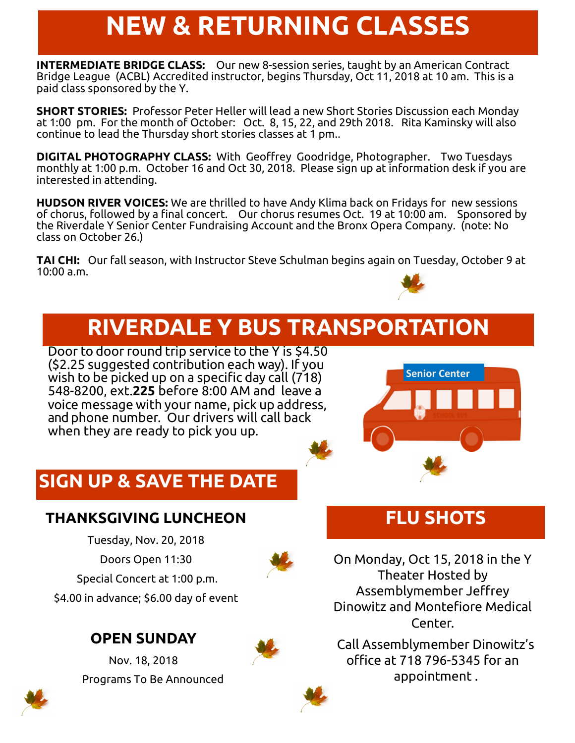# **NEW & RETURNING CLASSES**

**INTERMEDIATE BRIDGE CLASS:** Our new 8-session series, taught by an American Contract Bridge League (ACBL) Accredited instructor, begins Thursday, Oct 11, 2018 at 10 am. This is a paid class sponsored by the Y.

**SHORT STORIES:** Professor Peter Heller will lead a new Short Stories Discussion each Monday at 1:00 pm. For the month of October: Oct. 8, 15, 22, and 29th 2018. Rita Kaminsky will also continue to lead the Thursday short stories classes at 1 pm..

**DIGITAL PHOTOGRAPHY CLASS:** With Geoffrey Goodridge, Photographer. Two Tuesdays monthly at 1:00 p.m. October 16 and Oct 30, 2018. Please sign up at information desk if you are interested in attending.

**HUDSON RIVER VOICES:** We are thrilled to have Andy Klima back on Fridays for new sessions of chorus, followed by a final concert. Our chorus resumes Oct. 19 at 10:00 am. Sponsored by the Riverdale Y Senior Center Fundraising Account and the Bronx Opera Company. (note: No class on October 26.)

**TAI CHI:** Our fall season, with Instructor Steve Schulman begins again on Tuesday, October 9 at 10:00 a.m.



Door to door round trip service to the Y is \$4.50 (\$2.25 suggested contribution each way). If you wish to be picked up on a specific day call (718) 548-8200, ext.**225** before 8:00 AM and leave a voice message with your name, pick up address, and phone number. Our drivers will call back when they are ready to pick you up.



### **SIGN UP & SAVE THE DATE**

### **THANKSGIVING LUNCHEON**

Tuesday, Nov. 20, 2018 Doors Open 11:30 Special Concert at 1:00 p.m. \$4.00 in advance; \$6.00 day of event

### **OPEN SUNDAY**

Nov. 18, 2018 Programs To Be Announced



**FLU SHOTS**

On Monday, Oct 15, 2018 in the Y Theater Hosted by Assemblymember Jeffrey Dinowitz and Montefiore Medical Center.

 Call Assemblymember Dinowitz's office at 718 796-5345 for an appointment .



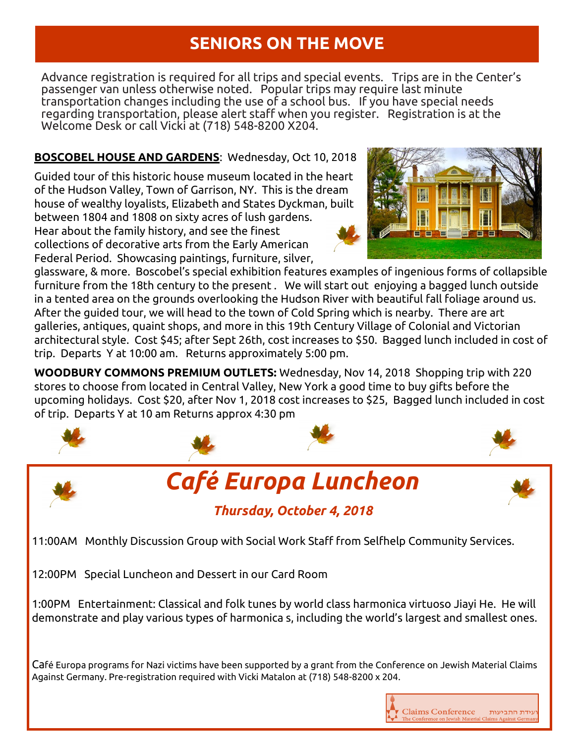### **SENIORS ON THE MOVE**

Advance registration is required for all trips and special events. Trips are in the Center's passenger van unless otherwise noted. Popular trips may require last minute transportation changes including the use of a school bus. If you have special needs regarding transportation, please alert staff when you register. Registration is at the Welcome Desk or call Vicki at (718) 548-8200 X204.

#### **BOSCOBEL HOUSE AND GARDENS**: Wednesday, Oct 10, 2018

Guided tour of this historic house museum located in the heart of the Hudson Valley, Town of Garrison, NY. This is the dream house of wealthy loyalists, Elizabeth and States Dyckman, built between 1804 and 1808 on sixty acres of lush gardens. Hear about the family history, and see the finest collections of decorative arts from the Early American Federal Period. Showcasing paintings, furniture, silver,

glassware, & more. Boscobel's special exhibition features examples of ingenious forms of collapsible furniture from the 18th century to the present . We will start out enjoying a bagged lunch outside in a tented area on the grounds overlooking the Hudson River with beautiful fall foliage around us. After the guided tour, we will head to the town of Cold Spring which is nearby. There are art galleries, antiques, quaint shops, and more in this 19th Century Village of Colonial and Victorian architectural style. Cost \$45; after Sept 26th, cost increases to \$50. Bagged lunch included in cost of trip. Departs Y at 10:00 am. Returns approximately 5:00 pm.

**WOODBURY COMMONS PREMIUM OUTLETS:** Wednesday, Nov 14, 2018 Shopping trip with 220 stores to choose from located in Central Valley, New York a good time to buy gifts before the upcoming holidays. Cost \$20, after Nov 1, 2018 cost increases to \$25, Bagged lunch included in cost of trip. Departs Y at 10 am Returns approx 4:30 pm



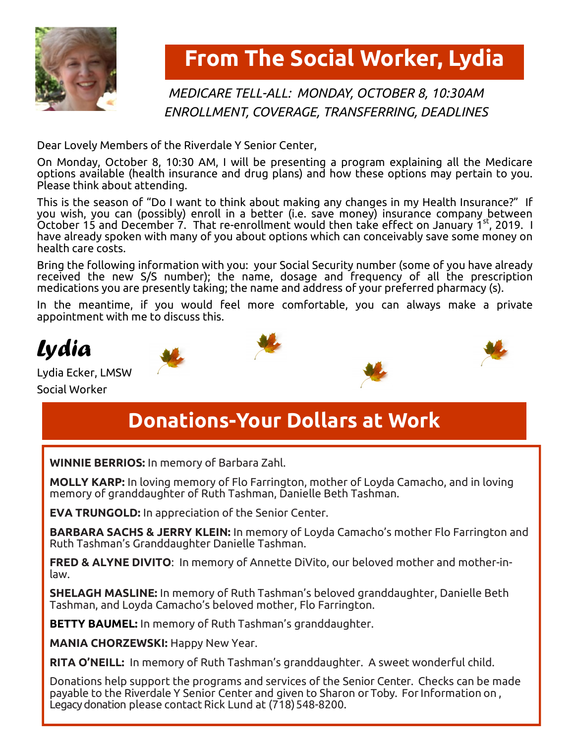

### **From The Social Worker, Lydia**

### *MEDICARE TELL-ALL: MONDAY, OCTOBER 8, 10:30AM ENROLLMENT, COVERAGE, TRANSFERRING, DEADLINES*

Dear Lovely Members of the Riverdale Y Senior Center,

On Monday, October 8, 10:30 AM, I will be presenting a program explaining all the Medicare options available (health insurance and drug plans) and how these options may pertain to you. Please think about attending.

This is the season of "Do I want to think about making any changes in my Health Insurance?" If you wish, you can (possibly) enroll in a better (i.e. save money) insurance company between October 15 and December 7. That re-enrollment would then take effect on January 1st, 2019. I have already spoken with many of you about options which can conceivably save some money on health care costs.

Bring the following information with you: your Social Security number (some of you have already received the new S/S number); the name, dosage and frequency of all the prescription medications you are presently taking; the name and address of your preferred pharmacy (s).

In the meantime, if you would feel more comfortable, you can always make a private appointment with me to discuss this.





Lydia Ecker, LMSW Social Worker





### **Donations-Your Dollars at Work**

**WINNIE BERRIOS:** In memory of Barbara Zahl.

**MOLLY KARP:** In loving memory of Flo Farrington, mother of Loyda Camacho, and in loving memory of granddaughter of Ruth Tashman, Danielle Beth Tashman.

**EVA TRUNGOLD:** In appreciation of the Senior Center.

**BARBARA SACHS & JERRY KLEIN:** In memory of Loyda Camacho's mother Flo Farrington and Ruth Tashman's Granddaughter Danielle Tashman.

**FRED & ALYNE DIVITO**: In memory of Annette DiVito, our beloved mother and mother-inlaw.

**SHELAGH MASLINE:** In memory of Ruth Tashman's beloved granddaughter, Danielle Beth Tashman, and Loyda Camacho's beloved mother, Flo Farrington.

**BETTY BAUMEL:** In memory of Ruth Tashman's granddaughter.

**MANIA CHORZEWSKI:** Happy New Year.

**RITA O'NEILL:** In memory of Ruth Tashman's granddaughter. A sweet wonderful child.

Donations help support the programs and services of the Senior Center. Checks can be made payable to the Riverdale Y Senior Center and given to Sharon or Toby. ForInformation on , Legacy donation please contact Rick Lund at (718) 548-8200.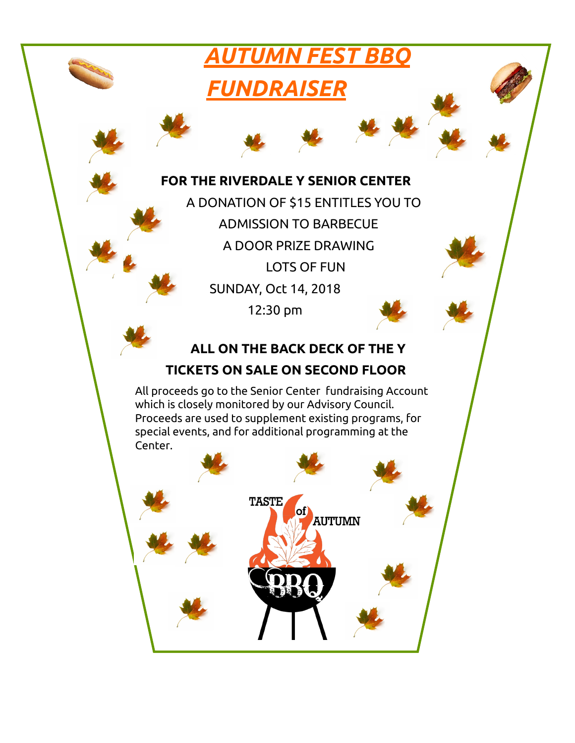### *AUTUMN FEST BBQ*

### *FUNDRAISER*

#### **FOR THE RIVERDALE Y SENIOR CENTER**

A DONATION OF \$15 ENTITLES YOU TO ADMISSION TO BARBECUE A DOOR PRIZE DRAWING LOTS OF FUN SUNDAY, Oct 14, 2018 12:30 pm

### **ALL ON THE BACK DECK OF THE Y**

### **TICKETS ON SALE ON SECOND FLOOR**

All proceeds go to the Senior Center fundraising Account which is closely monitored by our Advisory Council. Proceeds are used to supplement existing programs, for special events, and for additional programming at the Center.

> **TASTE AUTUMN**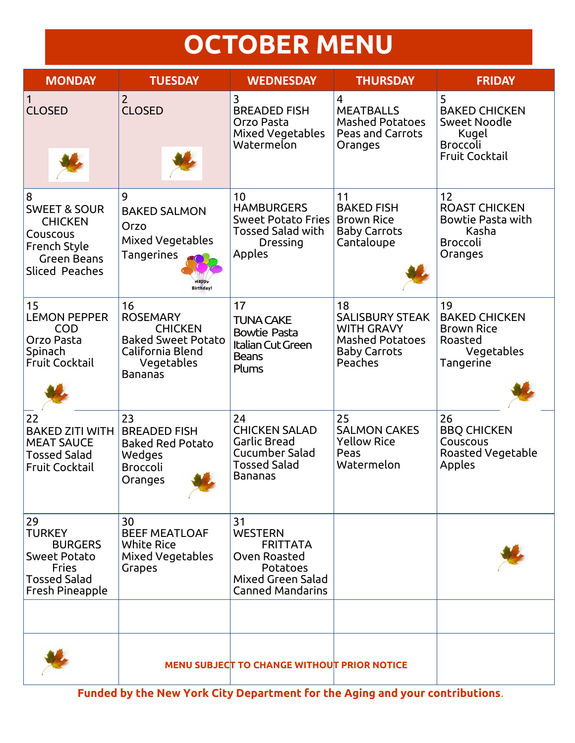# **OCTOBER MENU**

| <b>MONDAY</b>                                                                                                             | <b>TUESDAY</b>                                                                                                           | <b>WEDNESDAY</b>                                                                                                    | <b>THURSDAY</b>                                                                                               | <b>FRIDAY</b>                                                                                         |
|---------------------------------------------------------------------------------------------------------------------------|--------------------------------------------------------------------------------------------------------------------------|---------------------------------------------------------------------------------------------------------------------|---------------------------------------------------------------------------------------------------------------|-------------------------------------------------------------------------------------------------------|
| $\mathbf{1}$<br><b>CLOSED</b>                                                                                             | $\overline{2}$<br><b>CLOSED</b>                                                                                          | 3<br><b>BREADED FISH</b><br>Orzo Pasta<br>Mixed Vegetables<br>Watermelon                                            | 4<br><b>MEATBALLS</b><br><b>Mashed Potatoes</b><br><b>Peas and Carrots</b><br>Oranges                         | 5<br><b>BAKED CHICKEN</b><br><b>Sweet Noodle</b><br>Kugel<br><b>Broccoli</b><br><b>Fruit Cocktail</b> |
| 8<br><b>SWEET &amp; SOUR</b><br><b>CHICKEN</b><br>Couscous<br>French Style<br><b>Green Beans</b><br><b>Sliced Peaches</b> | 9<br><b>BAKED SALMON</b><br>Orzo<br>Mixed Vegetables<br><b>Tangerines</b><br><b>Birthday!</b>                            | 10<br><b>HAMBURGERS</b><br><b>Sweet Potato Fries</b><br><b>Tossed Salad with</b><br>Dressing<br>Apples              | 11<br><b>BAKED FISH</b><br><b>Brown Rice</b><br><b>Baby Carrots</b><br>Cantaloupe                             | 12<br><b>ROAST CHICKEN</b><br><b>Bowtie Pasta with</b><br>Kasha<br><b>Broccoli</b><br>Oranges         |
| 15<br><b>LEMON PEPPER</b><br><b>COD</b><br>Orzo Pasta<br>Spinach<br><b>Fruit Cocktail</b>                                 | 16<br><b>ROSEMARY</b><br><b>CHICKEN</b><br><b>Baked Sweet Potato</b><br>California Blend<br>Vegetables<br><b>Bananas</b> | 17<br><b>TUNA CAKE</b><br><b>Bowtie Pasta</b><br>Italian Cut Green<br><b>Beans</b><br>Plums                         | 18<br><b>SALISBURY STEAK</b><br><b>WITH GRAVY</b><br><b>Mashed Potatoes</b><br><b>Baby Carrots</b><br>Peaches | 19<br><b>BAKED CHICKEN</b><br><b>Brown Rice</b><br>Roasted<br>Vegetables<br>Tangerine                 |
| 22<br><b>BAKED ZITI WITH</b><br><b>MEAT SAUCE</b><br><b>Tossed Salad</b><br><b>Fruit Cocktail</b>                         | 23<br><b>BREADED FISH</b><br><b>Baked Red Potato</b><br>Wedges<br><b>Broccoli</b><br>Oranges                             | 24<br><b>CHICKEN SALAD</b><br>Garlic Bread<br>Cucumber Salad<br><b>Tossed Salad</b><br>Bananas                      | 25<br><b>SALMON CAKES</b><br><b>Yellow Rice</b><br>Peas<br>Watermelon                                         | 26<br><b>BBQ CHICKEN</b><br>Couscous<br>Roasted Vegetable<br>Apples                                   |
| 29<br><b>TURKEY</b><br><b>BURGERS</b><br><b>Sweet Potato</b><br><b>Fries</b><br><b>Tossed Salad</b><br>Fresh Pineapple    | 30<br><b>BEEF MEATLOAF</b><br><b>White Rice</b><br>Mixed Vegetables<br>Grapes                                            | 31<br><b>WESTERN</b><br><b>FRITTATA</b><br>Oven Roasted<br>Potatoes<br>Mixed Green Salad<br><b>Canned Mandarins</b> |                                                                                                               |                                                                                                       |
|                                                                                                                           |                                                                                                                          | MENU SUBJECT TO CHANGE WITHOUT PRIOR NOTICE                                                                         |                                                                                                               |                                                                                                       |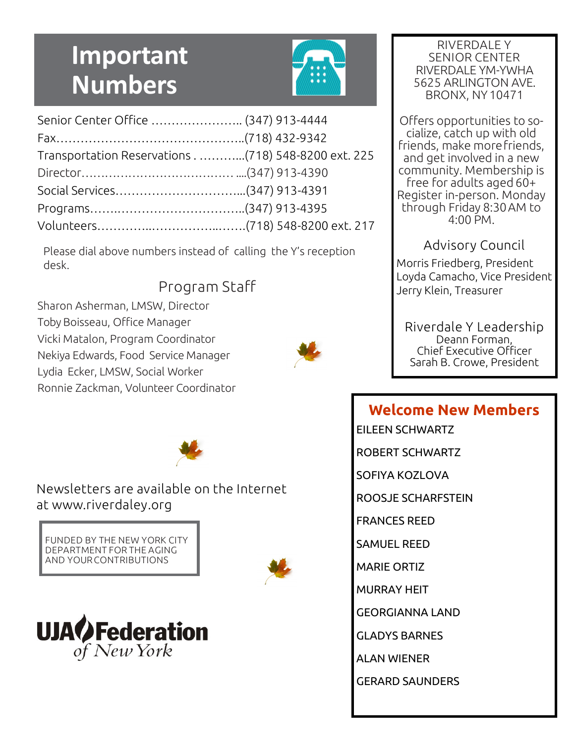# **Important Numbers**



| Senior Center Office  (347) 913-4444 |                                                     |
|--------------------------------------|-----------------------------------------------------|
|                                      |                                                     |
|                                      | Transportation Reservations (718) 548-8200 ext. 225 |
|                                      |                                                     |
|                                      |                                                     |
|                                      |                                                     |
|                                      |                                                     |

Please dial above numbers instead of calling the Y's reception desk.

### Program Staff

Sharon Asherman, LMSW, Director Toby Boisseau, Office Manager Vicki Matalon, Program Coordinator Nekiya Edwards, Food Service Manager Lydia Ecker, LMSW, Social Worker Ronnie Zackman, Volunteer Coordinator



Newsletters are available on the Internet at www.riverdaley.org

FUNDED BY THE NEW YORK CITY DEPARTMENT FOR THE AGING AND YOURCONTRIBUTIONS





RIVERDALE Y SENIOR CENTER RIVERDALE YM-YWHA 5625 ARLINGTON AVE. BRONX, NY10471

Offers opportunities to socialize, catch up with old friends, make morefriends, and get involved in a new community. Membership is free for adults aged 60+ Register in-person. Monday through Friday 8:30AM to 4:00 PM.

#### Advisory Council

Morris Friedberg, President Loyda Camacho, Vice President Jerry Klein, Treasurer

Riverdale Y Leadership Deann Forman, Chief Executive Officer Sarah B. Crowe, President

#### **Welcome New Members**

EILEEN SCHWARTZ

ROBERT SCHWARTZ

SOFIYA KOZLOVA

ROOSJE SCHARFSTEIN

FRANCES REED

SAMUEL REED

MARIE ORTIZ

MURRAY HEIT

GEORGIANNA LAND

GLADYS BARNES

ALAN WIENER

GERARD SAUNDERS